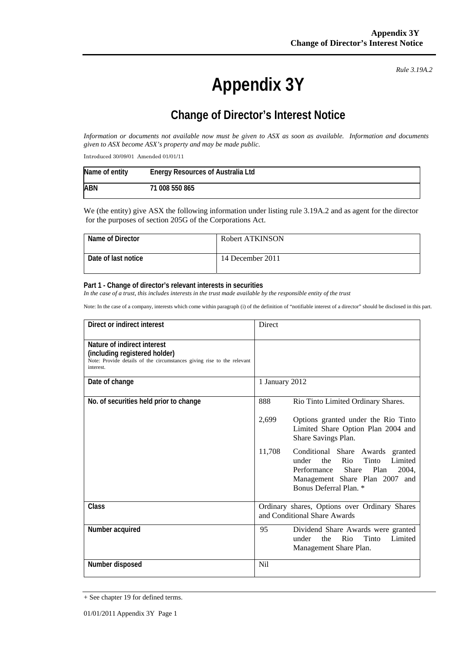# **Appendix 3Y**

*Rule 3.19A.2*

## **Change of Director's Interest Notice**

*Information or documents not available now must be given to ASX as soon as available. Information and documents given to ASX become ASX's property and may be made public.* 

Introduced 30/09/01 Amended 01/01/11

| Name of entity | <b>Energy Resources of Australia Ltd</b> |
|----------------|------------------------------------------|
| ABN            | 71 008 550 865                           |

We (the entity) give ASX the following information under listing rule 3.19A.2 and as agent for the director for the purposes of section 205G of the Corporations Act.

| Name of Director    | Robert ATKINSON  |
|---------------------|------------------|
| Date of last notice | 14 December 2011 |

#### **Part 1 - Change of director's relevant interests in securities**

In the case of a trust, this includes interests in the trust made available by the responsible entity of the trust

Note: In the case of a company, interests which come within paragraph (i) of the definition of "notifiable interest of a director" should be disclosed in this part.

| Direct or indirect interest                                                                                                                         | <b>Direct</b>                                                                                                                                                                              |
|-----------------------------------------------------------------------------------------------------------------------------------------------------|--------------------------------------------------------------------------------------------------------------------------------------------------------------------------------------------|
| Nature of indirect interest<br>(including registered holder)<br>Note: Provide details of the circumstances giving rise to the relevant<br>interest. |                                                                                                                                                                                            |
| Date of change                                                                                                                                      | 1 January 2012                                                                                                                                                                             |
| No. of securities held prior to change                                                                                                              | 888<br>Rio Tinto Limited Ordinary Shares.                                                                                                                                                  |
|                                                                                                                                                     | Options granted under the Rio Tinto<br>2,699<br>Limited Share Option Plan 2004 and<br>Share Savings Plan.                                                                                  |
|                                                                                                                                                     | 11,708<br>Conditional Share Awards granted<br>Limited<br>the<br>Rio<br>Tinto<br>under<br>Share<br>Plan<br>Performance<br>2004,<br>Management Share Plan 2007 and<br>Bonus Deferral Plan. * |
| Class                                                                                                                                               | Ordinary shares, Options over Ordinary Shares<br>and Conditional Share Awards                                                                                                              |
| Number acquired                                                                                                                                     | 95<br>Dividend Share Awards were granted<br>Tinto<br>the<br>Rio<br>Limited<br>under<br>Management Share Plan.                                                                              |
| Number disposed                                                                                                                                     | Nil                                                                                                                                                                                        |

<sup>+</sup> See chapter 19 for defined terms.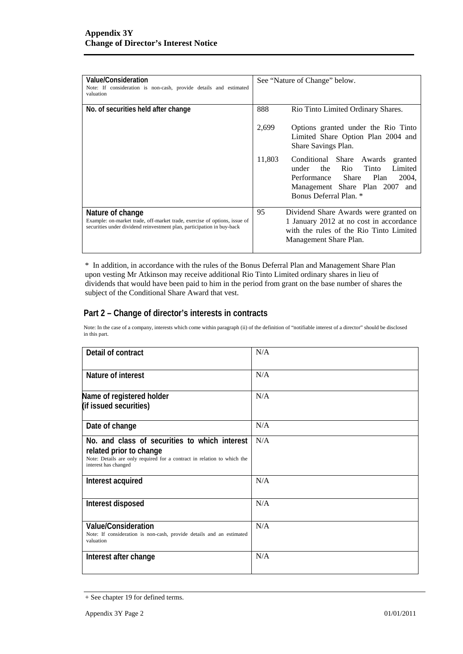| Value/Consideration<br>Note: If consideration is non-cash, provide details and estimated<br>valuation                                                                   | See "Nature of Change" below.                                                                                                                                                        |
|-------------------------------------------------------------------------------------------------------------------------------------------------------------------------|--------------------------------------------------------------------------------------------------------------------------------------------------------------------------------------|
| No. of securities held after change                                                                                                                                     | 888<br>Rio Tinto Limited Ordinary Shares.                                                                                                                                            |
|                                                                                                                                                                         | 2,699<br>Options granted under the Rio Tinto<br>Limited Share Option Plan 2004 and<br>Share Savings Plan.                                                                            |
|                                                                                                                                                                         | 11,803<br>Conditional Share Awards<br>granted<br>Rio<br>Limited<br>Tinto<br>under the<br>Performance Share Plan<br>2004,<br>Management Share Plan 2007 and<br>Bonus Deferral Plan. * |
| Nature of change<br>Example: on-market trade, off-market trade, exercise of options, issue of<br>securities under dividend reinvestment plan, participation in buy-back | 95<br>Dividend Share Awards were granted on<br>1 January 2012 at no cost in accordance<br>with the rules of the Rio Tinto Limited<br>Management Share Plan.                          |

\* In addition, in accordance with the rules of the Bonus Deferral Plan and Management Share Plan upon vesting Mr Atkinson may receive additional Rio Tinto Limited ordinary shares in lieu of dividends that would have been paid to him in the period from grant on the base number of shares the subject of the Conditional Share Award that vest.

#### **Part 2 – Change of director's interests in contracts**

Note: In the case of a company, interests which come within paragraph (ii) of the definition of "notifiable interest of a director" should be disclosed in this part.

| Detail of contract                                                                                                                                                          | N/A |
|-----------------------------------------------------------------------------------------------------------------------------------------------------------------------------|-----|
| Nature of interest                                                                                                                                                          | N/A |
| Name of registered holder<br>(if issued securities)                                                                                                                         | N/A |
| Date of change                                                                                                                                                              | N/A |
| No. and class of securities to which interest<br>related prior to change<br>Note: Details are only required for a contract in relation to which the<br>interest has changed | N/A |
| Interest acquired                                                                                                                                                           | N/A |
| Interest disposed                                                                                                                                                           | N/A |
| <b>Value/Consideration</b><br>Note: If consideration is non-cash, provide details and an estimated<br>valuation                                                             | N/A |
| Interest after change                                                                                                                                                       | N/A |

<sup>+</sup> See chapter 19 for defined terms.